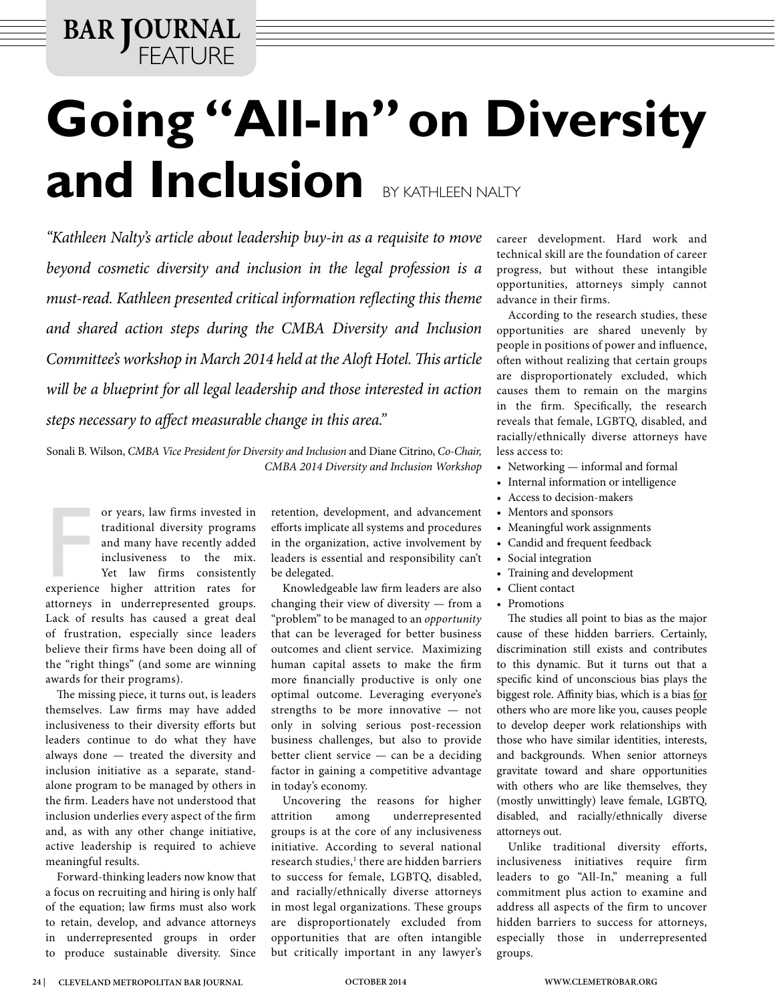**BAR JOURNAL** FEATURE

## **Going "All-In" on Diversity**  and Inclusion BY KATHLEEN NALTY

*"Kathleen Nalty's article about leadership buy-in as a requisite to move beyond cosmetic diversity and inclusion in the legal profession is a must-read. Kathleen presented critical information reflecting this theme and shared action steps during the CMBA Diversity and Inclusion Committee's workshop in March 2014 held at the Aloft Hotel. This article will be a blueprint for all legal leadership and those interested in action steps necessary to affect measurable change in this area."* 

Sonali B. Wilson, *CMBA Vice President for Diversity and Inclusion* and Diane Citrino, *Co-Chair, CMBA 2014 Diversity and Inclusion Workshop*

or years, law firms invested in<br>traditional diversity programs<br>and many have recently added<br>inclusiveness to the mix.<br>Yet law firms consistently<br>experience higher attrition rates for or years, law firms invested in traditional diversity programs and many have recently added inclusiveness to the mix. Yet law firms consistently attorneys in underrepresented groups. Lack of results has caused a great deal of frustration, especially since leaders believe their firms have been doing all of the "right things" (and some are winning awards for their programs).

The missing piece, it turns out, is leaders themselves. Law firms may have added inclusiveness to their diversity efforts but leaders continue to do what they have always done — treated the diversity and inclusion initiative as a separate, standalone program to be managed by others in the firm. Leaders have not understood that inclusion underlies every aspect of the firm and, as with any other change initiative, active leadership is required to achieve meaningful results.

Forward-thinking leaders now know that a focus on recruiting and hiring is only half of the equation; law firms must also work to retain, develop, and advance attorneys in underrepresented groups in order to produce sustainable diversity. Since retention, development, and advancement efforts implicate all systems and procedures in the organization, active involvement by leaders is essential and responsibility can't be delegated.

Knowledgeable law firm leaders are also changing their view of diversity — from a "problem" to be managed to an *opportunity* that can be leveraged for better business outcomes and client service. Maximizing human capital assets to make the firm more financially productive is only one optimal outcome. Leveraging everyone's strengths to be more innovative — not only in solving serious post-recession business challenges, but also to provide better client service — can be a deciding factor in gaining a competitive advantage in today's economy.

Uncovering the reasons for higher attrition among underrepresented groups is at the core of any inclusiveness initiative. According to several national research studies,1 there are hidden barriers to success for female, LGBTQ, disabled, and racially/ethnically diverse attorneys in most legal organizations. These groups are disproportionately excluded from opportunities that are often intangible but critically important in any lawyer's

career development. Hard work and technical skill are the foundation of career progress, but without these intangible opportunities, attorneys simply cannot advance in their firms.

According to the research studies, these opportunities are shared unevenly by people in positions of power and influence, often without realizing that certain groups are disproportionately excluded, which causes them to remain on the margins in the firm. Specifically, the research reveals that female, LGBTQ, disabled, and racially/ethnically diverse attorneys have less access to:

- Networking informal and formal
- • Internal information or intelligence
- • Access to decision-makers
- • Mentors and sponsors
- Meaningful work assignments
- • Candid and frequent feedback
- Social integration
- Training and development
- Client contact
- Promotions

The studies all point to bias as the major cause of these hidden barriers. Certainly, discrimination still exists and contributes to this dynamic. But it turns out that a specific kind of unconscious bias plays the biggest role. Affinity bias, which is a bias for others who are more like you, causes people to develop deeper work relationships with those who have similar identities, interests, and backgrounds. When senior attorneys gravitate toward and share opportunities with others who are like themselves, they (mostly unwittingly) leave female, LGBTQ, disabled, and racially/ethnically diverse attorneys out.

Unlike traditional diversity efforts, inclusiveness initiatives require firm leaders to go "All-In," meaning a full commitment plus action to examine and address all aspects of the firm to uncover hidden barriers to success for attorneys, especially those in underrepresented groups.